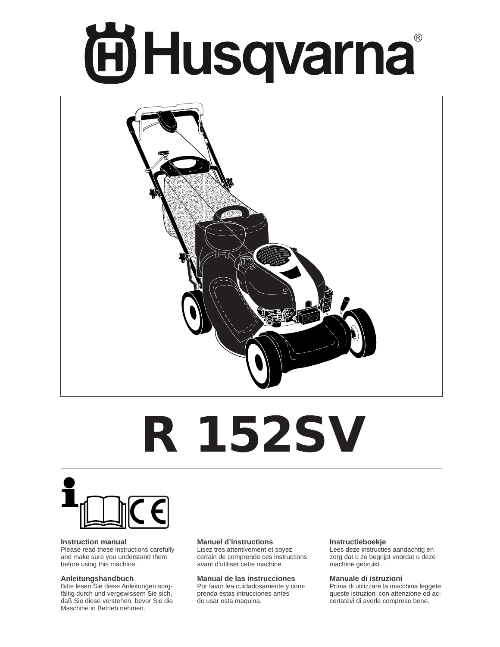# **ÖHusqvarna**



# **R 152SV**



#### **Instruction manual**

Please read these instructions carefully and make sure you understand them before using this machine.

#### **Anleitungshandbuch**

Bitte lesen Sie diese Anleitungen sorgfältig durch und vergewissern Sie sich, daß Sie diese verstehen, bevor Sie die Maschine in Betrieb nehmen.

#### **Manuel d'instructions**

Lisez très attentivement et soyez certain de comprende ces instructions avant d'utiliser cette machine.

#### **Manual de las instrucciones**

Por favor lea cuidadosamente y comprenda estas intrucciones antes de usar esta maquina.

#### **Instructieboekje**

Lees deze instructies aandachtig en zorg dat u ze begrijpt voordat u deze machine gebruikt.

#### **Manuale di istruzioni**

Prima di utilizzare la macchina leggete queste istruzioni con attenzione ed accertatevi di averle comprese bene.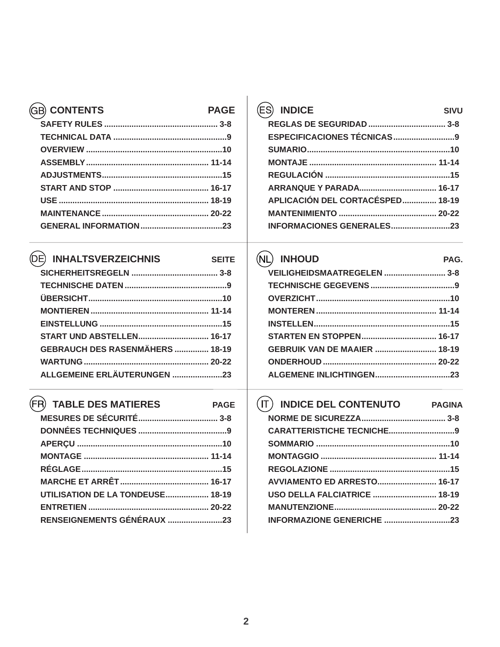| <b>CONTENTS</b> | <b>PAGE</b> |
|-----------------|-------------|
|                 |             |
|                 |             |
|                 |             |
|                 |             |
|                 |             |
|                 |             |
|                 |             |
|                 |             |
|                 |             |
|                 |             |

# *CE INHALTSVERZEICHNIS*

**PAGE** 

| <b>START UND ABSTELLEN 16-17</b>       |  |
|----------------------------------------|--|
| <b>GEBRAUCH DES RASENMÄHERS  18-19</b> |  |
|                                        |  |
| ALLGEMEINE ERLÄUTERUNGEN 23            |  |
|                                        |  |

# **FR** TABLE DES MATIERES

| UTILISATION DE LA TONDEUSE 18-19 |  |
|----------------------------------|--|
|                                  |  |
| RENSEIGNEMENTS GÉNÉRAUX 23       |  |

| <b>INDICE</b><br>SIVU            |
|----------------------------------|
|                                  |
|                                  |
|                                  |
|                                  |
|                                  |
|                                  |
| APLICACIÓN DEL CORTACÉSPED 18-19 |
|                                  |
| <b>INFORMACIONES GENERALES23</b> |

# **(NL) INHOUD**

| VEILIGHEIDSMAATREGELEN  3-8         |  |
|-------------------------------------|--|
|                                     |  |
|                                     |  |
|                                     |  |
|                                     |  |
|                                     |  |
| <b>GEBRUIK VAN DE MAAIER  18-19</b> |  |
|                                     |  |
|                                     |  |

PAG.

| <b>INDICE DEL CONTENUTO</b>         | <b>PAGINA</b> |
|-------------------------------------|---------------|
|                                     |               |
|                                     |               |
|                                     |               |
|                                     |               |
|                                     |               |
| <b>AVVIAMENTO ED ARRESTO 16-17</b>  |               |
| <b>USO DELLA FALCIATRICE  18-19</b> |               |
|                                     |               |
| <b>INFORMAZIONE GENERICHE</b>       | 23            |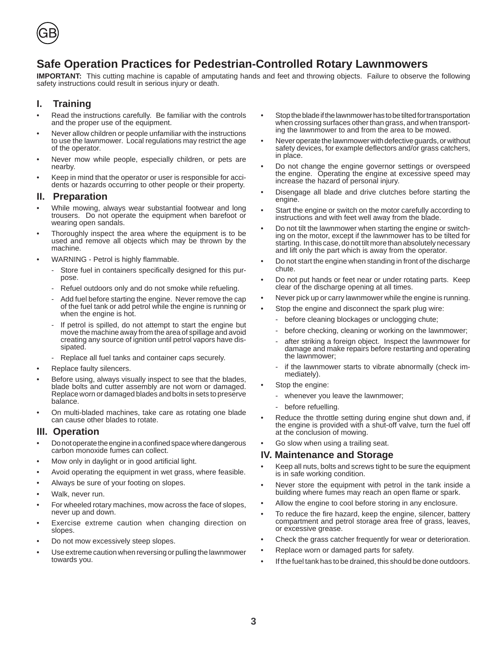

# **Safe Operation Practices for Pedestrian-Controlled Rotary Lawnmowers**

**IMPORTANT:** This cutting machine is capable of amputating hands and feet and throwing objects. Failure to observe the following safety instructions could result in serious injury or death.

#### **I. Training**

- Read the instructions carefully. Be familiar with the controls and the proper use of the equipment.
- Never allow children or people unfamiliar with the instructions to use the lawnmower. Local regulations may restrict the age of the operator.
- Never mow while people, especially children, or pets are nearby.
- Keep in mind that the operator or user is responsible for accidents or hazards occurring to other people or their property.

#### **II. Preparation**

- While mowing, always wear substantial footwear and long trousers. Do not operate the equipment when barefoot or wearing open sandals.
- Thoroughly inspect the area where the equipment is to be used and remove all objects which may be thrown by the machine.
- WARNING Petrol is highly flammable.
	- Store fuel in containers specifically designed for this purpose.
	- Refuel outdoors only and do not smoke while refueling.
	- Add fuel before starting the engine. Never remove the cap of the fuel tank or add petrol while the engine is running or when the engine is hot.
	- If petrol is spilled, do not attempt to start the engine but move the machine away from the area of spillage and avoid creating any source of ignition until petrol vapors have dissipated.
	- Replace all fuel tanks and container caps securely.
- Replace faulty silencers.
- Before using, always visually inspect to see that the blades, blade bolts and cutter assembly are not worn or damaged. Replace worn or damaged blades and bolts in sets to preserve balance.
- On multi-bladed machines, take care as rotating one blade can cause other blades to rotate.

#### **III. Operation**

- Do not operate the engine in a confined space where dangerous carbon monoxide fumes can collect.
- Mow only in daylight or in good artificial light.
- Avoid operating the equipment in wet grass, where feasible.
- Always be sure of your footing on slopes.
- Walk, never run.
- For wheeled rotary machines, mow across the face of slopes, never up and down.
- Exercise extreme caution when changing direction on slopes.
- Do not mow excessively steep slopes.
- Use extreme caution when reversing or pulling the lawnmower towards you.
- Stop the blade if the lawnmower has to be tilted for transportation when crossing surfaces other than grass, and when transporting the lawnmower to and from the area to be mowed.
- Never operate the lawnmower with defective guards, or without safety devices, for example deflectors and/or grass catchers, in place.
- Do not change the engine governor settings or overspeed the engine. Operating the engine at excessive speed may increase the hazard of personal injury.
- Disengage all blade and drive clutches before starting the engine.
- Start the engine or switch on the motor carefully according to instructions and with feet well away from the blade.
- Do not tilt the lawnmower when starting the engine or switching on the motor, except if the lawnmower has to be tilted for starting. In this case, do not tilt more than absolutely necessary and lift only the part which is away from the operator.
- Do not start the engine when standing in front of the discharge chute.
- Do not put hands or feet near or under rotating parts. Keep clear of the discharge opening at all times.
- Never pick up or carry lawnmower while the engine is running.
- Stop the engine and disconnect the spark plug wire:
- before cleaning blockages or unclogging chute;
- before checking, cleaning or working on the lawnmower;
- after striking a foreign object. Inspect the lawnmower for damage and make repairs before restarting and operating the lawnmower;
- if the lawnmower starts to vibrate abnormally (check immediately).
- Stop the engine:
	- whenever you leave the lawnmower;
	- before refuelling.
- Reduce the throttle setting during engine shut down and, if the engine is provided with a shut-off valve, turn the fuel off at the conclusion of mowing.
- Go slow when using a trailing seat.

#### **IV. Maintenance and Storage**

- Keep all nuts, bolts and screws tight to be sure the equipment is in safe working condition.
- Never store the equipment with petrol in the tank inside a building where fumes may reach an open flame or spark.
- Allow the engine to cool before storing in any enclosure.
- To reduce the fire hazard, keep the engine, silencer, battery compartment and petrol storage area free of grass, leaves, or excessive grease.
- Check the grass catcher frequently for wear or deterioration.
- Replace worn or damaged parts for safety.
- If the fuel tank has to be drained, this should be done outdoors.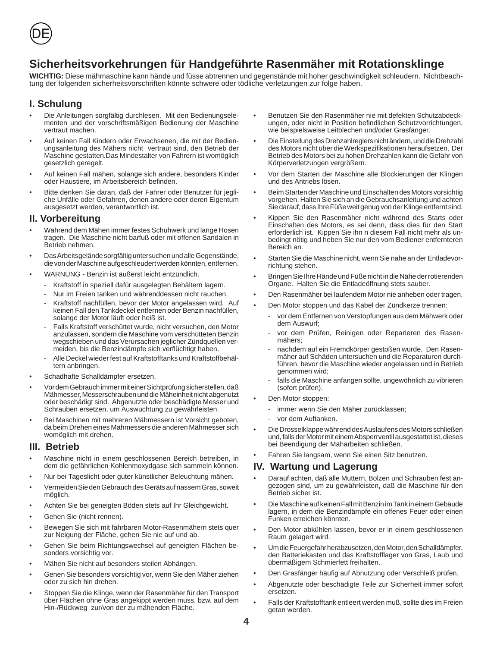

# **Sicherheitsvorkehrungen für Handgeführte Rasenmäher mit Rotationsklinge**

**WICHTIG:** Diese mähmaschine kann hände und füsse abtrennen und gegenstände mit hoher geschwindigkeit schleudern. Nichtbeachtung der folgenden sicherheitsvorschriften könnte schwere oder tödliche verletzungen zur folge haben.

#### **I. Schulung**

- Die Anleitungen sorgfältig durchlesen. Mit den Bedienungselementen und der vorschriftsmäßigen Bedienung der Maschine vertraut machen.
- Auf keinen Fall Kindern oder Erwachsenen, die mit der Bedienungsanleitung des Mähers nicht vertraut sind, den Betrieb der Maschine gestatten.Das Mindestalter von Fahrern ist womöglich gesetzlich geregelt.
- Auf keinen Fall mähen, solange sich andere, besonders Kinder oder Haustiere, im Arbeitsbereich befinden.
- Bitte denken Sie daran, daß der Fahrer oder Benutzer für jegliche Unfälle oder Gefahren, denen andere oder deren Eigentum ausgesetzt werden, verantwortlich ist.

#### **II. Vorbereitung**

- Während dem Mähen immer festes Schuhwerk und lange Hosen tragen. Die Maschine nicht barfuß oder mit offenen Sandalen in Betrieb nehmen.
- Das Arbeitsgelände sorgfältig untersuchen und alle Gegenstände, die von der Maschine aufgeschleudert werden könnten, entfernen.
- WARNUNG Benzin ist äußerst leicht entzündlich.
	- Kraftstoff in speziell dafür ausgelegten Behältern lagern.
	- Nur im Freien tanken und währenddessen nicht rauchen.
	- Kraftstoff nachfüllen, bevor der Motor angelassen wird. Auf keinen Fall den Tankdeckel entfernen oder Benzin nachfüllen, solange der Motor läuft oder heiß ist.
	- Falls Kraftstoff verschüttet wurde, nicht versuchen, den Motor anzulassen, sondern die Maschine vom verschütteten Benzin wegschieben und das Verursachen jeglicher Zündquellen vermeiden, bis die Benzindämpfe sich verflüchtigt haben.
	- Alle Deckel wieder fest auf Kraftstofftanks und Kraftstoffbehältern anbringen.
- Schadhafte Schalldämpfer ersetzen.
- Vor dem Gebrauch immer mit einer Sichtprüfung sicherstellen, daß Mähmesser, Messerschrauben und die Mäheinheit nicht abgenutzt oder beschädigt sind. Abgenutzte oder beschädigte Messer und Schrauben ersetzen, um Auswuchtung zu gewährleisten.
- Bei Maschinen mit mehreren Mähmessern ist Vorsicht geboten, da beim Drehen eines Mähmessers die anderen Mähmesser sich womöglich mit drehen.

#### **III. Betrieb**

- Maschine nicht in einem geschlossenen Bereich betreiben, in dem die gefährlichen Kohlenmoxydgase sich sammeln können.
- Nur bei Tageslicht oder guter künstlicher Beleuchtung mähen.
- Vermeiden Sie den Gebrauch des Geräts auf nassem Gras, soweit möglich.
- Achten Sie bei geneigten Böden stets auf Ihr Gleichgewicht.
- Gehen Sie (nicht rennen).
- Bewegen Sie sich mit fahrbaren Motor-Rasenmähern stets quer zur Neigung der Fläche, gehen Sie nie auf und ab.
- Gehen Sie beim Richtungswechsel auf geneigten Flächen besonders vorsichtig vor.
- Mähen Sie nicht auf besonders steilen Abhängen.
- Genen Sie besonders vorsichtig vor, wenn Sie den Mäher ziehen oder zu sich hin drehen.
- Stoppen Sie die Klinge, wenn der Rasenmäher für den Transport über Flächen ohne Gras angekippt werden muss, bzw. auf dem Hin-/Rückweg zur/von der zu mähenden Fläche.
- Benutzen Sie den Rasenmäher nie mit defekten Schutzabdeckungen, oder nicht in Position befindlichen Schutzvorrichtungen, wie beispielsweise Leitblechen und/oder Grasfänger.
- Die Einstellung des Drehzahlreglers nicht ändern, und die Drehzahl des Motors nicht über die Werkspezifikationen heraufsetzen. Der Betrieb des Motors bei zu hohen Drehzahlen kann die Gefahr von Körperverletzungen vergrößern.
- Vor dem Starten der Maschine alle Blockierungen der Klingen und des Antriebs lösen.
- Beim Starten der Maschine und Einschalten des Motors vorsichtig vorgehen. Halten Sie sich an die Gebrauchsanleitung und achten Sie darauf, dass Ihre Füße weit genug von der Klinge entfernt sind.
- Kippen Sie den Rasenmäher nicht während des Starts oder Einschalten des Motors, es sei denn, dass dies für den Start erforderlich ist. Kippen Sie ihn n diesem Fall nicht mehr als unbedingt nötig und heben Sie nur den vom Bediener entfernteren Bereich an.
- Starten Sie die Maschine nicht, wenn Sie nahe an der Entladevorrichtung stehen.
- Bringen Sie Ihre Hände und Füße nicht in die Nähe der rotierenden Organe. Halten Sie die Entladeöffnung stets sauber.
- Den Rasenmäher bei laufendem Motor nie anheben oder tragen.
	- Den Motor stoppen und das Kabel der Zündkerze trennen:
		- vor dem Entfernen von Verstopfungen aus dem Mähwerk oder dem Auswurf;
		- vor dem Prüfen, Reinigen oder Reparieren des Rasenmähers;
		- nachdem auf ein Fremdkörper gestoßen wurde. Den Rasenmäher auf Schäden untersuchen und die Reparaturen durchführen, bevor die Maschine wieder angelassen und in Betrieb genommen wird;
		- falls die Maschine anfangen sollte, ungewöhnlich zu vibrieren (sofort prüfen).
	- Den Motor stoppen:
		- immer wenn Sie den Mäher zurücklassen;
		- vor dem Auftanken.
	- Die Drosselklappe während des Auslaufens des Motors schließen und, falls der Motor mit einem Absperrventil ausgestattet ist, dieses bei Beendigung der Mäharbeiten schließen.
- Fahren Sie langsam, wenn Sie einen Sitz benutzen.

#### **IV. Wartung und Lagerung**

- Darauf achten, daß alle Muttern, Bolzen und Schrauben fest angezogen sind, um zu gewährleisten, daß die Maschine für den Betrieb sicher ist.
- Die Maschine auf keinen Fall mit Benzin im Tank in einem Gebäude lagern, in dem die Benzindämpfe ein offenes Feuer oder einen Funken erreichen könnten.
- Den Motor abkühlen lassen, bevor er in einem geschlossenen Raum gelagert wird.
- Um die Feuergefahr herabzusetzen, den Motor, den Schalldämpfer, den Batteriekasten und das Kraftstofflager von Gras, Laub und übermäßigem Schmierfett freihalten.
- Den Grasfänger häufig auf Abnutzung oder Verschleiß prüfen.
- Abgenutzte oder beschädigte Teile zur Sicherheit immer sofort ersetzen.
- Falls der Kraftstofftank entleert werden muß, sollte dies im Freien getan werden.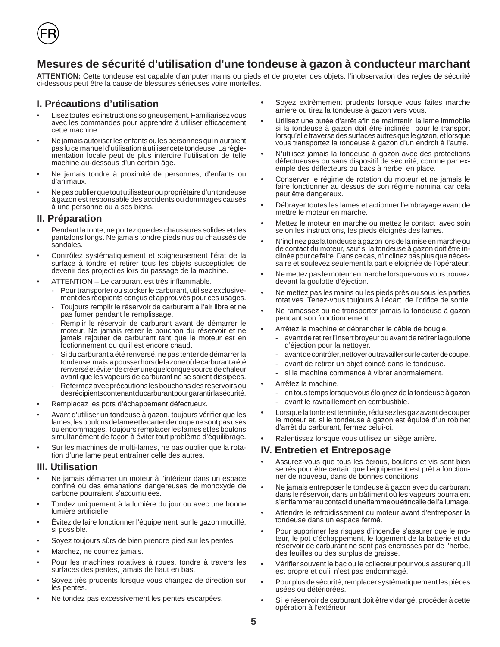

**ATTENTION:** Cette tondeuse est capable d'amputer mains ou pieds et de projeter des objets. l'inobservation des règles de sécurité ci-dessous peut être la cause de blessures sérieuses voire mortelles.

#### **I. Précautions d'utilisation**

- Lisez toutes les instructions soigneusement. Familiarisez vous avec les commandes pour apprendre à utiliser efficacement cette machine.
- Ne jamais autoriser les enfants ou les personnes qui n'auraient pas lu ce manuel d'utilisation à utiliser cete tondeuse. La règlementation locale peut de plus interdire l'utilisation de telle machine au-dessous d'un certain âge.
- Ne jamais tondre à proximité de personnes, d'enfants ou d'animaux.
- Ne pas oublier que tout utilisateur ou propriétaire d'un tondeuse à gazon est responsable des accidents ou dommages causés à une personne ou a ses biens.

#### **II. Préparation**

- Pendant la tonte, ne portez que des chaussures solides et des pantalons longs. Ne jamais tondre pieds nus ou chaussés de sandales.
- Contrôlez systématiquement et soigneusement l'état de la surface à tondre et retirer tous les objets susceptibles de devenir des projectiles lors du passage de la machine.
- ATTENTION Le carburant est très inflammable.
	- Pour transporter ou stocker le carburant, utilisez exclusivement des récipients conçus et approuvés pour ces usages.
	- Toujours remplir le réservoir de carburant à l'air libre et ne pas fumer pendant le remplissage.
	- Remplir le réservoir de carburant avant de démarrer le moteur. Ne jamais retirer le bouchon du réservoir et ne jamais rajouter de carburant tant que le moteur est en foctionnement ou qu'il est encore chaud.
	- Si du carburant a été renversé, ne pas tenter de démarrer la tondeuse, mais la pousser hors de la zone où le carburant a été renversé et éviter de créer une quelconque source de chaleur avant que les vapeurs de carburant ne se soient dissipées.
	- Refermez avec précautions les bouchons des réservoirs ou des récipients contenant du carburant pour garantir la sécurité.
- Remplacez les pots d'échappement défectueux.
- Avant d'utiliser un tondeuse à gazon, toujours vérifier que les lames, les boulons de lame et le carter de coupe ne sont pas usés ou endommagés. Toujours remplacer les lames et les boulons simultanément de façon à éviter tout problème d'équilibrage.
- Sur les machines de multi-lames, ne pas oublier que la rotation d'une lame peut entraîner celle des autres.

#### **III. Utilisation**

- Ne jamais démarrer un moteur à l'intérieur dans un espace confiné où des émanations dangereuses de monoxyde de carbone pourraient s'accumulées.
- Tondez uniquement à la lumière du jour ou avec une bonne lumière artificielle.
- Évitez de faire fonctionner l'équipement sur le gazon mouillé, si possible.
- Soyez toujours sûrs de bien prendre pied sur les pentes.
- Marchez, ne courrez jamais.
- Pour les machines rotatives à roues, tondre à travers les surfaces des pentes, jamais de haut en bas.
- Soyez très prudents lorsque vous changez de direction sur les pentes.
- Ne tondez pas excessivement les pentes escarpées.
- Soyez extrêmement prudents lorsque vous faites marche arrière ou tirez la tondeuse à gazon vers vous.
- Utilisez une butée d'arrêt afin de maintenir la lame immobile si la tondeuse à gazon doit être inclinée pour le transport lorsqu'elle traverse des surfaces autres que le gazon, et lorsque vous transportez la tondeuse à gazon d'un endroit à l'autre.
- N'utilisez jamais la tondeuse à gazon avec des protections défectueuses ou sans dispositif de sécurité, comme par exemple des déflecteurs ou bacs à herbe, en place.
- Conserver le régime de rotation du moteur et ne jamais le faire fonctionner au dessus de son régime nominal car cela peut être dangereux.
- Débrayer toutes les lames et actionner l'embrayage avant de mettre le moteur en marche.
- Mettez le moteur en marche ou mettez le contact avec soin selon les instructions, les pieds éloignés des lames.
- N'inclinez pas la tondeuse à gazon lors de la mise en marche ou de contact du moteur, sauf si la tondeuse à gazon doit être inclinée pour ce faire. Dans ce cas, n'inclinez pas plus que nécessaire et soulevez seulement la partie éloignée de l'opérateur.
- Ne mettez pas le moteur en marche lorsque vous vous trouvez devant la goulotte d'éjection.
- Ne mettez pas les mains ou les pieds près ou sous les parties rotatives. Tenez-vous toujours à l'écart de l'orifice de sortie
- Ne ramassez ou ne transporter jamais la tondeuse à gazon pendant son fonctionnement
- Arrêtez la machine et débrancher le câble de bougie.
	- avant de retirer l'insert broyeur ou avant de retirer la goulotte d'éjection pour la nettoyer.
	- avant de contrôler, nettoyer ou travailler sur le carter de coupe,
	- avant de retirer un objet coincé dans le tondeuse.
	- si la machine commence à vibrer anormalement.
- Arrêtez la machine.
	- en tous temps lorsque vous éloignez de la tondeuse à gazon
	- avant le ravitaillement en combustible.
- Lorsque la tonte est terminée, réduisez les gaz avant de couper le moteur et, si le tondeuse à gazon est équipé d'un robinet d'arrêt du carburant, fermez celui-ci.
- Ralentissez lorsque vous utilisez un siège arrière.

#### **IV. Entretien et Entreposage**

- Assurez-vous que tous les écrous, boulons et vis sont bien serrés pour être certain que l'équipement est prêt à fonctionner de nouveau, dans de bonnes conditions.
- Ne jamais entreposer le tondeuse à gazon avec du carburant dans le réservoir, dans un bâtiment où les vapeurs pourraient s'enflammer au contact d'une flamme ou étincelle de l'allumage.
- Attendre le refroidissement du moteur avant d'entreposer la tondeuse dans un espace fermé.
- Pour supprimer les risques d'incendie s'assurer que le moteur, le pot d'échappement, le logement de la batterie et du réservoir de carburant ne sont pas encrassés par de l'herbe, des feuilles ou des surplus de graisse.
- Vérifier souvent le bac ou le collecteur pour vous assurer qu'il est propre et qu'il n'est pas endommagé.
- Pour plus de sécurité, remplacer systématiquement les pièces usées ou détériorées.
- Si le réservoir de carburant doit être vidangé, procéder à cette opération à l'extérieur.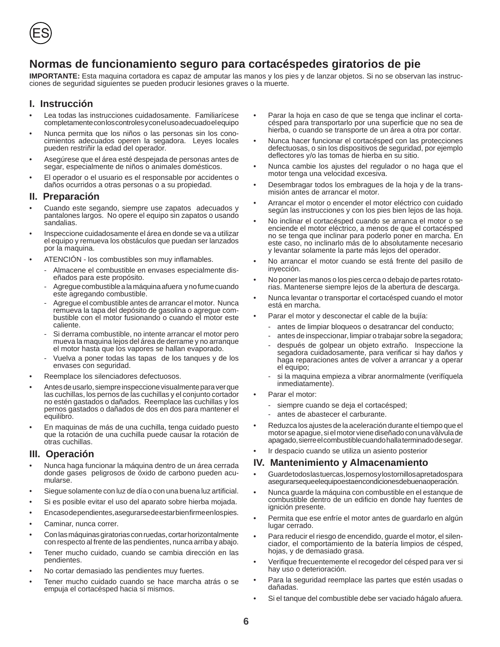

# **Normas de funcionamiento seguro para cortacéspedes giratorios de pie**

**IMPORTANTE:** Esta maquina cortadora es capaz de amputar las manos y los pies y de lanzar objetos. Si no se observan las instrucciones de seguridad siguientes se pueden producir lesiones graves o la muerte.

#### **I. Instrucción**

- Lea todas las instrucciones cuidadosamente. Familiarícese completamente con los controles y con el uso adecuado el equipo
- Nunca permita que los niños o las personas sin los conocimientos adecuados operen la segadora. Leyes locales pueden restriñir la edad del operador.
- Asegúrese que el área esté despejada de personas antes de segar, especialmente de niños o animales domésticos.
- El operador o el usuario es el responsable por accidentes o daños ocurridos a otras personas o a su propiedad.

#### **II. Preparación**

- Cuando este segando, siempre use zapatos adecuados y pantalones largos. No opere el equipo sin zapatos o usando sandalias.
- Inspeccione cuidadosamente el área en donde se va a utilizar el equipo y remueva los obstáculos que puedan ser lanzados por la maquina.
- ATENCIÓN los combustibles son muy inflamables.
	- Almacene el combustible en envases especialmente diseñados para este propósito.
	- Agregue combustible a la máquina afuera y no fume cuando este agregando combustible.
	- Agregue el combustible antes de arrancar el motor. Nunca remueva la tapa del depósito de gasolina o agregue combustible con el motor fusionando o cuando el motor este caliente.
	- Si derrama combustible, no intente arrancar el motor pero mueva la maquina lejos del área de derrame y no arranque el motor hasta que los vapores se hallan evaporado.
	- Vuelva a poner todas las tapas de los tanques y de los envases con seguridad.
- Reemplace los silenciadores defectuosos.
- Antes de usarlo, siempre inspeccione visualmente para ver que las cuchillas, los pernos de las cuchillas y el conjunto cortador no estén gastados o dañados. Reemplace las cuchillas y los pernos gastados o dañados de dos en dos para mantener el equilibro.
- En maquinas de más de una cuchilla, tenga cuidado puesto que la rotación de una cuchilla puede causar la rotación de otras cuchillas.

#### **III. Operación**

- Nunca haga funcionar la máquina dentro de un área cerrada donde gases peligrosos de óxido de carbono pueden acumularse.
- Siegue solamente con luz de día o con una buena luz artificial.
- Si es posible evitar el uso del aparato sobre hierba mojada.
- En caso de pendientes, asegurarse de estar bien firme en los pies.
- Caminar, nunca correr.
- Con las máquinas giratorias con ruedas, cortar horizontalmente con respecto al frente de las pendientes, nunca arriba y abajo.
- Tener mucho cuidado, cuando se cambia dirección en las pendientes.
- No cortar demasiado las pendientes muy fuertes.
- Tener mucho cuidado cuando se hace marcha atrás o se empuja el cortacésped hacia sí mismos.
- Parar la hoja en caso de que se tenga que inclinar el cortacésped para transportarlo por una superficie que no sea de hierba, o cuando se transporte de un área a otra por cortar.
- Nunca hacer funcionar el cortacésped con las protecciones defectuosas, o sin los dispositivos de seguridad, por ejemplo deflectores y/o las tomas de hierba en su sitio.
- Nunca cambie los ajustes del regulador o no haga que el motor tenga una velocidad excesiva.
- Desembragar todos los embragues de la hoja y de la transmisión antes de arrancar el motor.
- Arrancar el motor o encender el motor eléctrico con cuidado según las instrucciones y con los pies bien lejos de las hoja.
- No inclinar el cortacésped cuando se arranca el motor o se enciende el motor eléctrico, a menos de que el cortacésped no se tenga que inclinar para poderlo poner en marcha. En este caso, no inclinarlo más de lo absolutamente necesario y levantar solamente la parte más lejos del operador.
- No arrancar el motor cuando se está frente del pasillo de inyección.
- No poner las manos o los pies cerca o debajo de partes rotatorias. Mantenerse siempre lejos de la abertura de descarga.
- Nunca levantar o transportar el cortacésped cuando el motor está en marcha.
- Parar el motor y desconectar el cable de la bujía:
	- antes de limpiar bloqueos o desatrancar del conducto;
	- antes de inspeccionar, limpiar o trabajar sobre la segadora;
	- después de golpear un objeto extraño. Inspeccione la segadora cuidadosamente, para verificar si hay daños y haga reparaciones antes de volver a arrancar y a operar el equipo;
	- si la maquina empieza a vibrar anormalmente (verifíquela inmediatamente).
- Parar el motor:
	- siempre cuando se deja el cortacésped;
	- antes de abastecer el carburante.
- Reduzca los ajustes de la aceleración durante el tiempo que el motor se apague, si el motor viene diseñado con una válvula de apagado, sierre el combustible cuando halla terminado de segar.
- Ir despacio cuando se utiliza un asiento posterior

#### **IV. Mantenimiento y Almacenamiento**

- Guarde todos las tuercas, los pernos y los tornillos apretados para asegurarse que el equipo esta en condiciones de buena operación.
- Nunca guarde la máquina con combustible en el estanque de combustible dentro de un edificio en donde hay fuentes de ignición presente.
- Permita que ese enfríe el motor antes de guardarlo en algún lugar cerrado.
- Para reducir el riesgo de encendido, guarde el motor, el silenciador, el comportamiento de la batería limpios de césped, hojas, y de demasiado grasa.
- Verifique frecuentemente el recogedor del césped para ver si hay uso o deterioración.
- Para la seguridad reemplace las partes que estén usadas o dañadas.
- Si el tanque del combustible debe ser vaciado hágalo afuera.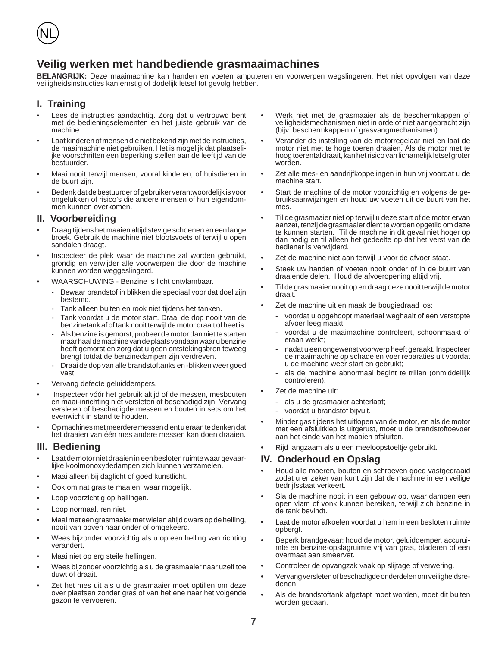

# **Veilig werken met handbediende grasmaaimachines**

**BELANGRIJK:** Deze maaimachine kan handen en voeten amputeren en voorwerpen wegslingeren. Het niet opvolgen van deze veiligheidsinstructies kan ernstig of dodelijk letsel tot gevolg hebben.

#### **I. Training**

- Lees de instructies aandachtig. Zorg dat u vertrouwd bent met de bedieningselementen en het juiste gebruik van de machine.
- Laat kinderen of mensen die niet bekend zijn met de instructies, de maaimachine niet gebruiken. Het is mogelijk dat plaatselijke voorschriften een beperking stellen aan de leeftijd van de bestuurder.
- Maai nooit terwijl mensen, vooral kinderen, of huisdieren in de buurt zijn.
- Bedenk dat de bestuurder of gebruiker verantwoordelijk is voor ongelukken of risico's die andere mensen of hun eigendommen kunnen overkomen.

#### **II. Voorbereiding**

- Draag tijdens het maaien altijd stevige schoenen en een lange broek. Gebruik de machine niet blootsvoets of terwijl u open sandalen draagt.
- Inspecteer de plek waar de machine zal worden gebruikt, grondig en verwijder alle voorwerpen die door de machine kunnen worden weggeslingerd.
- WAARSCHUWING Benzine is licht ontvlambaar.
	- Bewaar brandstof in blikken die speciaal voor dat doel zijn bestemd.
	- Tank alleen buiten en rook niet tijdens het tanken.
	- Tank voordat u de motor start. Draai de dop nooit van de benzinetank af of tank nooit terwijl de motor draait of heet is.
	- Als benzine is gemorst, probeer de motor dan niet te starten maar haal de machine van de plaats vandaan waar u benzine heeft gemorst en zorg dat u geen ontstekingsbron teweeg brengt totdat de benzinedampen zijn verdreven.
	- Draai de dop van alle brandstoftanks en -blikken weer goed vast.
- Vervang defecte geluiddempers.
- Inspecteer vóór het gebruik altijd of de messen, mesbouten en maai-inrichting niet versleten of beschadigd zijn. Vervang versleten of beschadigde messen en bouten in sets om het evenwicht in stand te houden.
- Op machines met meerdere messen dient u eraan te denken dat het draaien van één mes andere messen kan doen draaien.

#### **III. Bediening**

- Laat de motor niet draaien in een besloten ruimte waar gevaarlijke koolmonoxydedampen zich kunnen verzamelen.
- Maai alleen bij daglicht of goed kunstlicht.
- Ook om nat gras te maaien, waar mogelijk.
- Loop voorzichtig op hellingen.
- Loop normaal, ren niet.
- Maai met een grasmaaier met wielen altijd dwars op de helling, nooit van boven naar onder of omgekeerd.
- Wees bijzonder voorzichtig als u op een helling van richting verandert.
- Maai niet op erg steile hellingen.
- Wees bijzonder voorzichtig als u de grasmaaier naar uzelf toe duwt of draait.
- Zet het mes uit als u de grasmaaier moet optillen om deze over plaatsen zonder gras of van het ene naar het volgende gazon te vervoeren.
- Werk niet met de grasmaaier als de beschermkappen of veiligheidsmechanismen niet in orde of niet aangebracht zijn (bijv. beschermkappen of grasvangmechanismen).
- Verander de instelling van de motorregelaar niet en laat de motor niet met te hoge toeren draaien. Als de motor met te hoog toerental draait, kan het risico van lichamelijk letsel groter worden.
- Zet alle mes- en aandrijfkoppelingen in hun vrij voordat u de machine start.
- Start de machine of de motor voorzichtig en volgens de gebruiksaanwijzingen en houd uw voeten uit de buurt van het mes.
- Til de grasmaaier niet op terwijl u deze start of de motor ervan aanzet, tenzij de grasmaaier dient te worden opgetild om deze te kunnen starten. Til de machine in dit geval niet hoger op dan nodig en til alleen het gedeelte op dat het verst van de bediener is verwijderd.
- Zet de machine niet aan terwijl u voor de afvoer staat.
- Steek uw handen of voeten nooit onder of in de buurt van draaiende delen. Houd de afvoeropening altijd vrij.
- Til de grasmaaier nooit op en draag deze nooit terwijl de motor draait.
- Zet de machine uit en maak de bougiedraad los:
	- voordat u opgehoopt materiaal weghaalt of een verstopte afvoer leeg maakt;
	- voordat u de maaimachine controleert, schoonmaakt of eraan werkt;
	- nadat u een ongewenst voorwerp heeft geraakt. Inspecteer de maaimachine op schade en voer reparaties uit voordat u de machine weer start en gebruikt;
	- als de machine abnormaal begint te trillen (onmiddellijk controleren).
- Zet de machine uit:
	- als u de grasmaaier achterlaat;
	- voordat u brandstof bijvult.
- Minder gas tijdens het uitlopen van de motor, en als de motor met een afsluitklep is uitgerust, moet u de brandstoftoevoer aan het einde van het maaien afsluiten.
- Rijd langzaam als u een meeloopstoeltje gebruikt.

#### **IV. Onderhoud en Opslag**

- Houd alle moeren, bouten en schroeven goed vastgedraaid zodat u er zeker van kunt zijn dat de machine in een veilige bedrijfsstaat verkeert.
- Sla de machine nooit in een gebouw op, waar dampen een open vlam of vonk kunnen bereiken, terwijl zich benzine in de tank bevindt.
- Laat de motor afkoelen voordat u hem in een besloten ruimte opbergt.
- Beperk brandgevaar: houd de motor, geluiddemper, accuruimte en benzine-opslagruimte vrij van gras, bladeren of een overmaat aan smeervet.
- Controleer de opvangzak vaak op slijtage of verwering.
- Vervang versleten of beschadigde onderdelen om veiligheidsredenen.
- Als de brandstoftank afgetapt moet worden, moet dit buiten worden gedaan.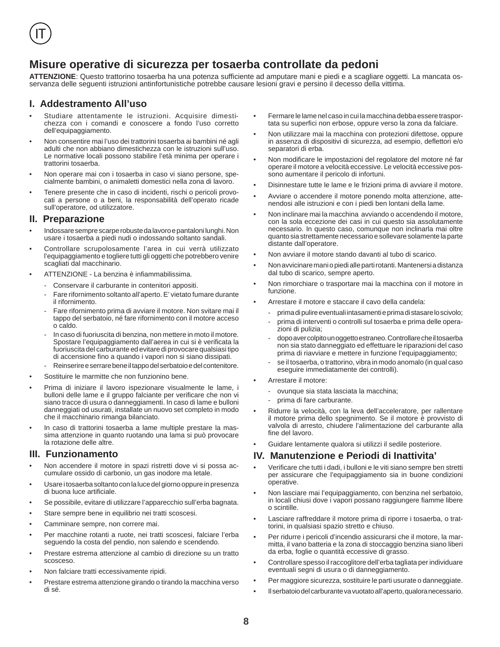# **Misure operative di sicurezza per tosaerba controllate da pedoni**

ATTENZIONE: Questo trattorino tosaerba ha una potenza sufficiente ad amputare mani e piedi e a scagliare oggetti. La mancata osservanza delle seguenti istruzioni antinfortunistiche potrebbe causare lesioni gravi e persino il decesso della vittima.

#### **I. Addestramento All'uso**

- Studiare attentamente le istruzioni. Acquisire dimestichezza con i comandi e conoscere a fondo l'uso corretto dell'equipaggiamento.
- Non consentire mai l'uso dei trattorini tosaerba ai bambini né agli adulti che non abbiano dimestichezza con le istruzioni sull'uso. Le normative locali possono stabilire l'età minima per operare i trattorini tosaerba.
- Non operare mai con i tosaerba in caso vi siano persone, specialmente bambini, o animaletti domestici nella zona di lavoro.
- Tenere presente che in caso di incidenti, rischi o pericoli provocati a persone o a beni, la responsabilità dell'operato ricade sull'operatore, od utilizzatore.

#### **II. Preparazione**

- Indossare sempre scarpe robuste da lavoro e pantaloni lunghi. Non usare i tosaerba a piedi nudi o indossando soltanto sandali.
- Controllare scrupolosamente l'area in cui verrà utilizzato l'equipaggiamento e togliere tutti gli oggetti che potrebbero venire scagliati dal macchinario.
- ATTENZIONE La benzina è infiammabilissima.
	- Conservare il carburante in contenitori appositi.
	- Fare rifornimento soltanto all'aperto. E' vietato fumare durante il rifornimento.
	- Fare rifornimento prima di avviare il motore. Non svitare mai il tappo del serbatoio, né fare rifornimento con il motore acceso o caldo.
	- In caso di fuoriuscita di benzina, non mettere in moto il motore. Spostare l'equipaggiamento dall'aerea in cui si è verificata la fuoriuscita del carburante ed evitare di provocare qualsiasi tipo di accensione fino a quando i vapori non si siano dissipati.
	- Reinserire e serrare bene il tappo del serbatoio e del contenitore.
- Sostituire le marmitte che non funzionino bene.
- Prima di iniziare il lavoro ispezionare visualmente le lame, i bulloni delle lame e il gruppo falciante per verificare che non vi siano tracce di usura o danneggiamenti. In caso di lame e bulloni danneggiati od usurati, installate un nuovo set completo in modo che il macchinario rimanga bilanciato.
- In caso di trattorini tosaerba a lame multiple prestare la massima attenzione in quanto ruotando una lama si può provocare la rotazione delle altre.

#### **III. Funzionamento**

- Non accendere il motore in spazi ristretti dove vi si possa accumulare ossido di carbonio, un gas inodore ma letale.
- Usare i tosaerba soltanto con la luce del giorno oppure in presenza di buona luce artificiale.
- Se possibile, evitare di utilizzare l'apparecchio sull'erba bagnata.
- Stare sempre bene in equilibrio nei tratti scoscesi.
- Camminare sempre, non correre mai.
- Per macchine rotanti a ruote, nei tratti scoscesi, falciare l'erba seguendo la costa del pendio, non salendo e scendendo.
- Prestare estrema attenzione al cambio di direzione su un tratto scosceso.
- Non falciare tratti eccessivamente ripidi.
- Prestare estrema attenzione girando o tirando la macchina verso di sé.
- Fermare le lame nel caso in cui la macchina debba essere trasportata su superfici non erbose, oppure verso la zona da falciare.
- Non utilizzare mai la macchina con protezioni difettose, oppure in assenza di dispositivi di sicurezza, ad esempio, deflettori e/o separatori di erba.
- Non modificare le impostazioni del regolatore del motore né far operare il motore a velocità eccessive. Le velocità eccessive possono aumentare il pericolo di infortuni.
- Disinnestare tutte le lame e le frizioni prima di avviare il motore.
- Avviare o accendere il motore ponendo molta attenzione, attenendosi alle istruzioni e con i piedi ben lontani della lame.
- Non inclinare mai la macchina avviando o accendendo il motore, con la sola eccezione dei casi in cui questo sia assolutamente necessario. In questo caso, comunque non inclinarla mai oltre quanto sia strettamente necessario e sollevare solamente la parte distante dall'operatore.
- Non avviare il motore stando davanti al tubo di scarico.
- Non avvicinare mani o piedi alle parti rotanti. Mantenersi a distanza dal tubo di scarico, sempre aperto.
- Non rimorchiare o trasportare mai la macchina con il motore in funzione.
- Arrestare il motore e staccare il cavo della candela:
	- prima di pulire eventuali intasamenti e prima di stasare lo scivolo;
	- prima di interventi o controlli sul tosaerba e prima delle operazioni di pulizia;
	- dopo aver colpito un oggetto estraneo. Controllare che il tosaerba non sia stato danneggiato ed effettuare le riparazioni del caso prima di riavviare e mettere in funzione l'equipaggiamento;
	- se il tosaerba, o trattorino, vibra in modo anomalo (in qual caso eseguire immediatamente dei controlli).
- Arrestare il motore:
	- ovunque sia stata lasciata la macchina;
	- prima di fare carburante.
- Ridurre la velocità, con la leva dell'acceleratore, per rallentare il motore prima dello spegnimento. Se il motore è provvisto di valvola di arresto, chiudere l'alimentazione del carburante alla fine del lavoro.
- Guidare lentamente qualora si utilizzi il sedile posteriore.

#### **IV. Manutenzione e Periodi di Inattivita'**

- Verificare che tutti i dadi, i bulloni e le viti siano sempre ben stretti per assicurare che l'equipaggiamento sia in buone condizioni operative.
- Non lasciare mai l'equipaggiamento, con benzina nel serbatoio, in locali chiusi dove i vapori possano raggiungere fiamme libere o scintille.
- Lasciare raffreddare il motore prima di riporre i tosaerba, o trattorini, in qualsiasi spazio stretto e chiuso.
- Per ridurre i pericoli d'incendio assicurarsi che il motore, la marmitta, il vano batteria e la zona di stoccaggio benzina siano liberi da erba, foglie o quantità eccessive di grasso.
- Controllare spesso il raccoglitore dell'erba tagliata per individuare eventuali segni di usura o di danneggiamento.
- Per maggiore sicurezza, sostituire le parti usurate o danneggiate.
- Il serbatoio del carburante va vuotato all'aperto, qualora necessario.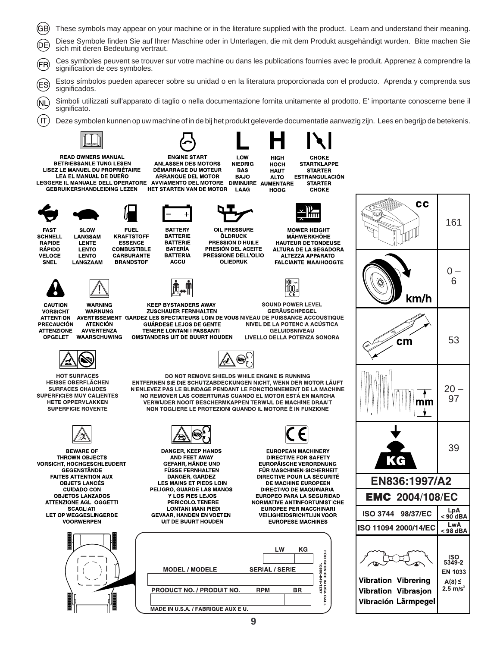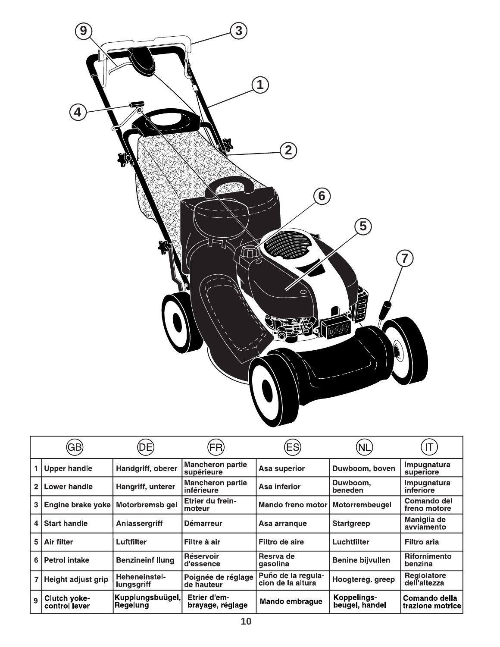

|                | GВ                            | DЕ                                 | FR)                                   | ES                                      | NL                            |                                    |
|----------------|-------------------------------|------------------------------------|---------------------------------------|-----------------------------------------|-------------------------------|------------------------------------|
|                | <b>Upper handle</b>           | Handgriff, oberer                  | <b>Mancheron partie</b><br>supérieure | Asa superior                            | Duwboom, boven                | Impugnatura<br>superiore           |
| $\overline{2}$ | Lower handle                  | Hangriff, unterer                  | <b>Mancheron partie</b><br>inférieure | Asa inferior                            | Duwboom,<br>beneden           | Impugnatura<br>inferiore           |
| 3              | Engine brake yoke             | Motorbremsb gel                    | Etrier du frein-<br>moteur            | Mando freno motor                       | <b>Motorrembeugel</b>         | Comando del<br>freno motore        |
| 4              | <b>Start handle</b>           | <b>Anlassergriff</b>               | <b>Démarreur</b>                      | Asa arrangue                            | <b>Startgreep</b>             | Maniglia de<br>avviamento          |
| 5              | Air filter                    | Luftfilter                         | Filtre à air                          | Filtro de aire                          | Luchtfilter                   | <b>Filtro aria</b>                 |
| 6              | <b>Petrol intake</b>          | <b>Benzineinf Ilung</b>            | Réservoir<br>d'essence                | Resrva de<br>gasolina                   | <b>Benine bijvullen</b>       | <b>Rifornimento</b><br>benzina     |
|                | Height adjust grip            | Heheneinstel-<br><b>lungsgriff</b> | Poignée de réglage<br>de hauteur      | Puño de la regula-<br>cion de la altura | Hoogtereg. greep              | <b>Reglolatore</b><br>dell'altezza |
| 9              | Clutch yoke-<br>control lever | Kupplungsbuügel,<br>Regelung       | Etrier d'em-<br>brayage, réglage      | Mando embrague                          | Koppelings-<br>beugel, handel | Comando della<br>trazione motrice  |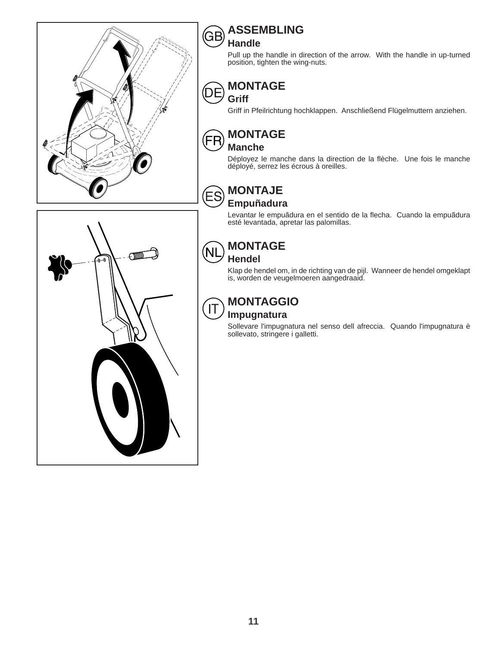

#### **ASSEMBLING** GB

# **Handle**

Pull up the handle in direction of the arrow. With the handle in up-turned position, tighten the wing-nuts.

#### **MONTAGE** DΕ



Griff in Pfeilrichtung hochklappen. Anschließend Flügelmuttern anziehen.

# **MONTAGE**



ΈS

**Manche**

Déployez le manche dans la direction de la flèche. Une fois le manche déployé, serrez les écrous à oreilles.

# **MONTAJE**



Levantar le empuãdura en el sentido de la flecha. Cuando la empuãdura esté levantada, apretar las palomillas.



#### **MONTAGE NL Hendel**

Klap de hendel om, in de richting van de pijl. Wanneer de hendel omgeklapt is, worden de veugelmoeren aangedraaid.

#### **MONTAGGIO**  $\mathsf{I}\mathsf{T}$ **Impugnatura**

Sollevare l'impugnatura nel senso dell afreccia. Quando l'impugnatura è sollevato, stringere i galletti.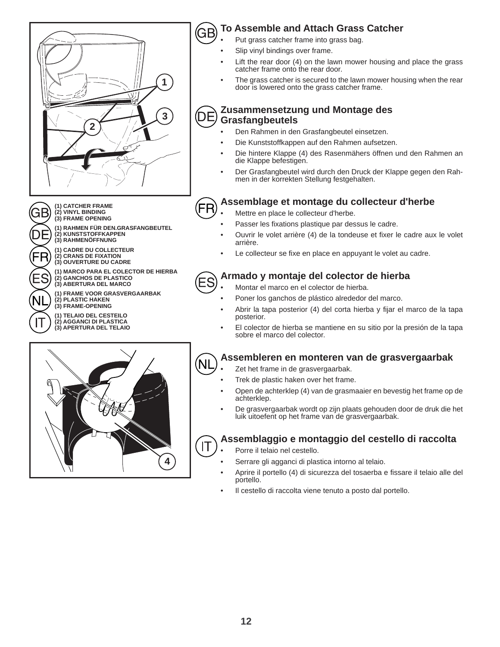

**(1) CATCHER FRAME (2) VINYL BINDING (3) FRAME OPENING**

GВ

**(1) RAHMEN FÜR DEN.GRASFANGBEUTEL (2) KUNSTSTOFFKAPPEN (3) RAHMENÖFFNUNG**

**(1) CADRE DU COLLECTEUR (2) CRANS DE FIXATION (3) OUVERTURE DU CADRE**

**(1) MARCO PARA EL COLECTOR DE HIERBA (2) GANCHOS DE PLASTICO (3) ABERTURA DEL MARCO**

**(1) FRAME VOOR GRASVERGAARBAK (2) PLASTIC HAKEN (3) FRAME-OPENING**

**(1) TELAIO DEL CESTEILO (2) AGGANCI DI PLASTICA (3) APERTURA DEL TELAIO**

# **4**

#### **To Assemble and Attach Grass Catcher** ЭE

- Put grass catcher frame into grass bag.
- Slip vinyl bindings over frame.
- Lift the rear door (4) on the lawn mower housing and place the grass catcher frame onto the rear door.
- The grass catcher is secured to the lawn mower housing when the rear door is lowered onto the grass catcher frame.

#### **Zusammensetzung und Montage des** D **Grasfangbeutels**

- Den Rahmen in den Grasfangbeutel einsetzen.
- Die Kunststoffkappen auf den Rahmen aufsetzen.
- Die hintere Klappe (4) des Rasenmähers öffnen und den Rahmen an die Klappe befestigen.
- Der Grasfangbeutel wird durch den Druck der Klappe gegen den Rahmen in der korrekten Stellung festgehalten.

#### **Assemblage et montage du collecteur d'herbe** FR

- Mettre en place le collecteur d'herbe.
- Passer les fixations plastique par dessus le cadre.
- Ouvrir le volet arrière (4) de la tondeuse et fixer le cadre aux le volet arrière.
- Le collecteur se fixe en place en appuyant le volet au cadre.

# **Armado y montaje del colector de hierba**

- Montar el marco en el colector de hierba.
- Poner los ganchos de plástico alrededor del marco.
- Abrir la tapa posterior (4) del corta hierba y fijar el marco de la tapa posterior.
- El colector de hierba se mantiene en su sitio por la presión de la tapa sobre el marco del colector.

#### **Assembleren en monteren van de grasvergaarbak NL**

- Zet het frame in de grasvergaarbak.
- Trek de plastic haken over het frame.
- Open de achterklep (4) van de grasmaaier en bevestig het frame op de achterklep.
- De grasvergaarbak wordt op zijn plaats gehouden door de druk die het luik uitoefent op het frame van de grasvergaarbak.

#### **Assemblaggio e montaggio del cestello di raccolta** IT

- Porre il telaio nel cestello.
- Serrare gli agganci di plastica intorno al telaio.
- Aprire il portello (4) di sicurezza del tosaerba e fissare il telaio alle del portello.
- Il cestello di raccolta viene tenuto a posto dal portello.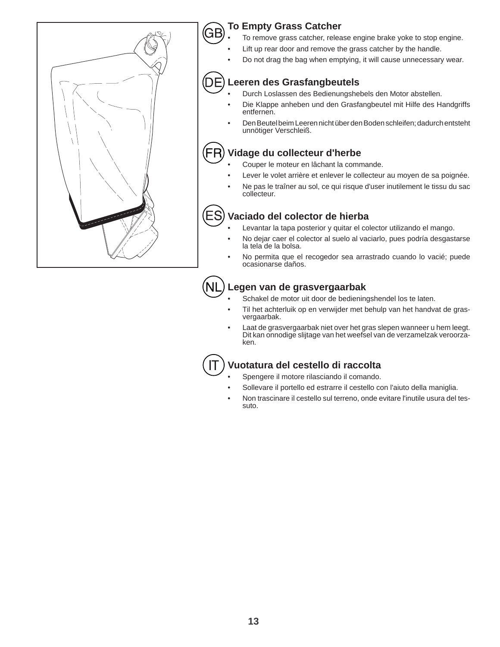

# **To Empty Grass Catcher**

GЕ

D

IT

- To remove grass catcher, release engine brake yoke to stop engine.
- Lift up rear door and remove the grass catcher by the handle.
- Do not drag the bag when emptying, it will cause unnecessary wear.

# **Leeren des Grasfangbeutels**

- Durch Loslassen des Bedienungshebels den Motor abstellen.
- Die Klappe anheben und den Grasfangbeutel mit Hilfe des Handgriffs entfernen.
- Den Beutel beim Leeren nicht über den Boden schleifen; dadurch entsteht unnötiger Verschleiß.

#### FF **Vidage du collecteur d'herbe**

- Couper le moteur en lâchant la commande.
- Lever le volet arrière et enlever le collecteur au moyen de sa poignée.
- Ne pas le traîner au sol, ce qui risque d'user inutilement le tissu du sac collecteur.

## **Vaciado del colector de hierba**

- Levantar la tapa posterior y quitar el colector utilizando el mango.
- No dejar caer el colector al suelo al vaciarlo, pues podría desgastarse la tela de la bolsa.
- No permita que el recogedor sea arrastrado cuando lo vacié; puede ocasionarse daños.

# **Legen van de grasvergaarbak**

- Schakel de motor uit door de bedieningshendel los te laten.
- Til het achterluik op en verwijder met behulp van het handvat de grasvergaarbak.
- Laat de grasvergaarbak niet over het gras slepen wanneer u hem leegt. Dit kan onnodige slijtage van het weefsel van de verzamelzak veroorzaken.

# **Vuotatura del cestello di raccolta**

- Spengere il motore rilasciando il comando.
- Sollevare il portello ed estrarre il cestello con l'aiuto della maniglia.
- Non trascinare il cestello sul terreno, onde evitare l'inutile usura del tessuto.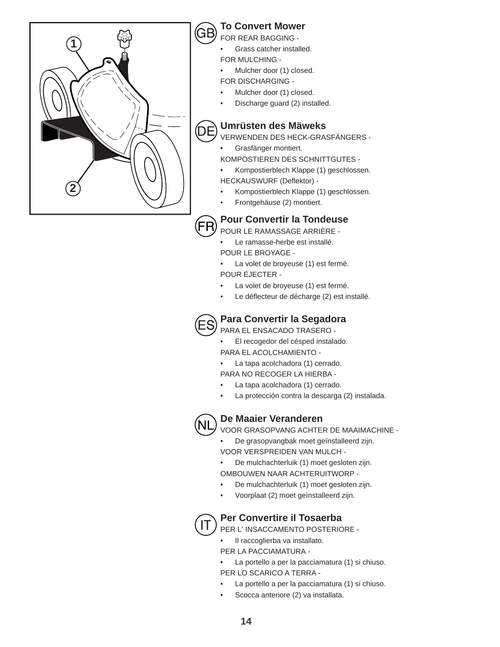

# **To Convert Mower**

FOR REAR BAGGING -

• Grass catcher installed.

FOR MULCHING -

- Mulcher door (1) closed.
- FOR DISCHARGING -
- Mulcher door (1) closed.
- Discharge guard (2) installed.

# **Umrüsten des Mäweks**

VERWENDEN DES HECK-GRASFÄNGERS -

- Grasfänger montiert.
- KOMPOSTIEREN DES SCHNITTGUTES -
- Kompostierblech Klappe (1) geschlossen. HECKAUSWURF (Deflektor) -
- Kompostierblech Klappe (1) geschlossen.
- Frontgehäuse (2) montiert.

# **Pour Convertir la Tondeuse**

POUR LE RAMASSAGE ARRIÈRE - Le ramasse-herbe est installé.

- POUR LE BROYAGE -
- La volet de broyeuse (1) est fermé. POUR ÉJECTER -
- La volet de broyeuse (1) est fermé.
- Le déflecteur de décharge (2) est installé.



# **Para Convertir la Segadora**

PARA EL ENSACADO TRASERO -

- El recogedor del césped instalado. PARA EL ACOLCHAMIENTO -
- La tapa acolchadora (1) cerrado.
- PARA NO RECOGER LA HIERBA -
- La tapa acolchadora (1) cerrado.
- La protección contra la descarga (2) instalada.



# **De Maaier Veranderen**

VOOR GRASOPVANG ACHTER DE MAAIMACHINE -

• De grasopvangbak moet geïnstalleerd zijn. VOOR VERSPREIDEN VAN MULCH -

• De mulchachterluik (1) moet gesloten zijn. OMBOUWEN NAAR ACHTERUITWORP -

- De mulchachterluik (1) moet gesloten zijn.
- Voorplaat (2) moet geïnstalleerd zijn.



# **Per Convertire il Tosaerba**

PER L' INSACCAMENTO POSTERIORE -

- Il raccoglierba va installato.
- PER LA PACCIAMATURA -

La portello a per la pacciamatura (1) si chiuso. PER LO SCARICO A TERRA -

- La portello a per la pacciamatura (1) si chiuso.
- Scocca anteriore (2) va installata.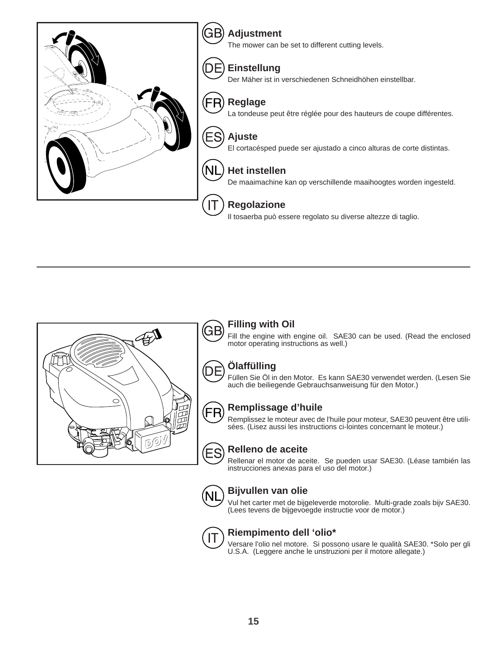



GE

D

FR

# **Filling with Oil**

Fill the engine with engine oil. SAE30 can be used. (Read the enclosed motor operating instructions as well.)

# **Ölaffülling**

Füllen Sie Öl in den Motor. Es kann SAE30 verwendet werden. (Lesen Sie auch die beiliegende Gebrauchsanweisung für den Motor.)

# **Remplissage d'huile**

Remplissez le moteur avec de l'huile pour moteur, SAE30 peuvent être utilisées. (Lisez aussi les instructions ci-lointes concernant le moteur.)



### **Relleno de aceite**

Rellenar el motor de aceite. Se pueden usar SAE30. (Léase también las instrucciones anexas para el uso del motor.)



# **Bijvullen van olie**

Vul het carter met de bijgeleverde motorolie. Multi-grade zoals bijv SAE30. (Lees tevens de bijgevoegde instructie voor de motor.)



### **Riempimento dell 'olio\***

Versare l'olio nel motore. Si possono usare le qualità SAE30. \*Solo per gli U.S.A. (Leggere anche le unstruzioni per il motore allegate.)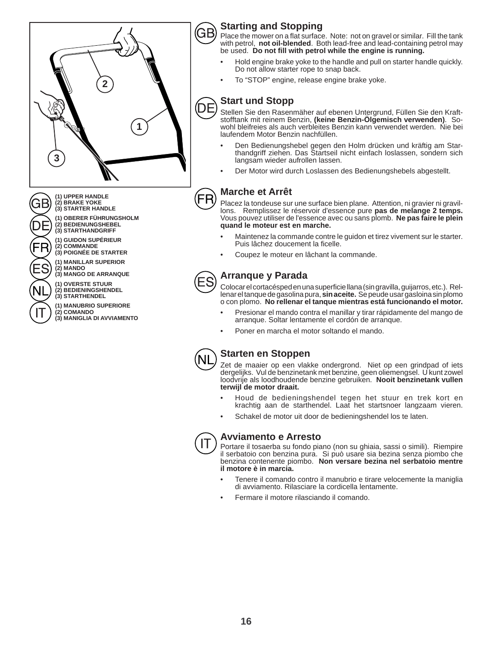

# **Starting and Stopping**

Place the mower on a flat surface. Note: not on gravel or similar. Fill the tank with petrol, **not oil-blended**. Both lead-free and lead-containing petrol may be used. Do not fill with petrol while the engine is running.

- Hold engine brake yoke to the handle and pull on starter handle quickly. Do not allow starter rope to snap back.
- To "STOP" engine, release engine brake yoke.

# **Start und Stopp**

Stellen Sie den Rasenmäher auf ebenen Untergrund, Füllen Sie den Kraftstofftank mit reinem Benzin, **(keine Benzin-Ölgemisch verwenden)**. Sowohl bleifreies als auch verbleites Benzin kann verwendet werden. Nie bei laufendem Motor Benzin nachfüllen.

- Den Bedienungshebel gegen den Holm drücken und kräftig am Starthandgriff ziehen. Das Startseil nicht einfach loslassen, sondern sich langsam wieder aufrollen lassen.
- Der Motor wird durch Loslassen des Bedienungshebels abgestellt.

# **Marche et Arrêt**

Placez la tondeuse sur une surface bien plane. Attention, ni gravier ni gravillons. Remplissez le réservoir d'essence pure **pas de melange 2 temps.** Vous pouvez utiliser de l'essence avec ou sans plomb. **Ne pas faire le plein quand le moteur est en marche.**

- Maintenez la commande contre le guidon et tirez vivement sur le starter. Puis lâchez doucement la ficelle.
- Coupez le moteur en lâchant la commande.

# **Arranque y Parada**

Colocar el cortacésped en una superficie llana (sin gravilla, guijarros, etc.). Rellenar el tanque de gasolina pura, **sin aceite.** Se peude usar gasloina sin plomo o con plomo. **No rellenar el tanque mientras está funcionando el motor.**

- Presionar el mando contra el manillar y tirar rápidamente del mango de arranque. Soltar lentamente el cordón de arranque.
- Poner en marcha el motor soltando el mando.



#### **Starten en Stoppen**

Zet de maaier op een vlakke ondergrond. Niet op een grindpad of iets dergelijks. Vul de benzinetank met benzine, geen oliemengsel. U kunt zowel loodvrije als loodhoudende benzine gebruiken. Nooit benzinetank vullen **terwijl de motor draait.**

- Houd de bedieningshendel tegen het stuur en trek kort en krachtig aan de starthendel. Laat het startsnoer langzaam vieren.
- Schakel de motor uit door de bedieningshendel los te laten.



#### **Avviamento e Arresto**

Portare il tosaerba su fondo piano (non su ghiaia, sassi o simili). Riempire il serbatoio con benzina pura. Si può usare sia bezina senza piombo che benzina contenente piombo. **Non versare bezina nel serbatoio mentre il motore è in marcia.**

- Tenere il comando contro il manubrio e tirare velocemente la maniglia di avviamento. Rilasciare la cordicella lentamente.
- Fermare il motore rilasciando il comando.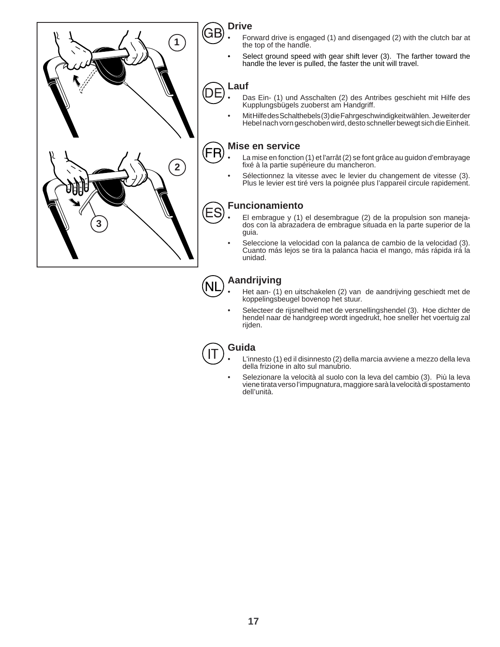

# **Drive**

G

 $\Box$ 

- Forward drive is engaged (1) and disengaged (2) with the clutch bar at the top of the handle.
- Select ground speed with gear shift lever (3). The farther toward the handle the lever is pulled, the faster the unit will travel.

# **Lauf**

- Das Ein- (1) und Asschalten (2) des Antribes geschieht mit Hilfe des Kupplungsbügels zuoberst am Handgriff.
- Mit Hilfe des Schalthebels (3) die Fahrgeschwindigkeit wählen. Je weiter der Hebel nach vorn geschoben wird, desto schneller bewegt sich die Einheit.

#### **Mise en service** ΈR

- La mise en fonction (1) et l'arrât (2) se font grâce au guidon d'embrayage fixé à la partie supérieure du mancheron.
- Sélectionnez la vitesse avec le levier du changement de vitesse (3). Plus le levier est tiré vers la poignée plus l'appareil circule rapidement.

# **Funcionamiento**

- El embrague y (1) el desembrague (2) de la propulsion son manejados con la abrazadera de embrague situada en la parte superior de la guia.
- Seleccione la velocidad con la palanca de cambio de la velocidad (3). Cuanto más lejos se tira la palanca hacia el mango, más rápida irá la unidad.

#### **Aandrijving**  NL

- Het aan- (1) en uitschakelen (2) van de aandrijving geschiedt met de koppelingsbeugel bovenop het stuur.
- Selecteer de rijsnelheid met de versnellingshendel (3). Hoe dichter de hendel naar de handgreep wordt ingedrukt, hoe sneller het voertuig zal rijden.

# **Guida**

- L'innesto (1) ed il disinnesto (2) della marcia avviene a mezzo della leva della frizione in alto sul manubrio.
- Selezionare la velocità al suolo con la leva del cambio (3). Più la leva viene tirata verso l'impugnatura, maggiore sarà la velocità di spostamento dell'unità.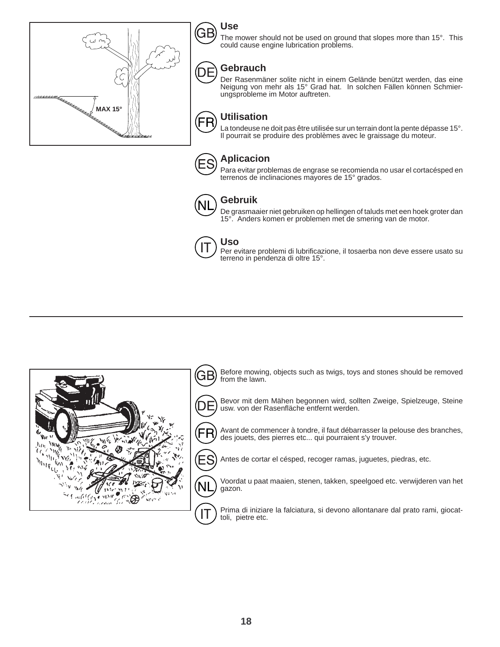



The mower should not be used on ground that slopes more than 15°. This could cause engine lubrication problems.

# **Gebrauch**

Der Rasenmäner solite nicht in einem Gelände benützt werden, das eine Neigung von mehr als 15° Grad hat. In solchen Fällen können Schmierungsprobleme im Motor auftreten.

#### **Utilisation** FR La tondeuse ne doit pas être utilisée sur un terrain dont la pente dépasse 15°. Il pourrait se produire des problèmes avec le graissage du moteur.



D E

# **Aplicacion**

Para evitar problemas de engrase se recomienda no usar el cortacésped en terrenos de inclinaciones mayores de 15° grados.



# **Gebruik**

De grasmaaier niet gebruiken op hellingen of taluds met een hoek groter dan 15°. Anders komen er problemen met de smering van de motor.



# **Uso**

Per evitare problemi di lubrificazione, il tosaerba non deve essere usato su terreno in pendenza di oltre 15°.

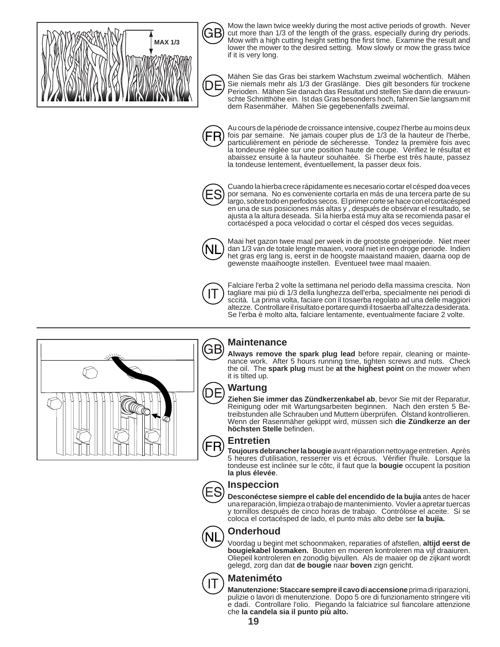

GB

Mow the lawn twice weekly during the most active periods of growth. Never cut more than 1/3 of the length of the grass, especially during dry periods. Mow with a high cutting height setting the first time. Examine the result and lower the mower to the desired setting. Mow slowly or mow the grass twice if it is very long.



Mähen Sie das Gras bei starkem Wachstum zweimal wöchentlich. Mähen Sie niemals mehr als 1/3 der Graslänge. Dies gilt besonders für trockene Perioden. Mähen Sie danach das Resultat und stellen Sie dann die erwuunschte Schnitthöhe ein. lst das Gras besonders hoch, fahren Sie langsam mit dem Rasenmäher. Mähen Sie gegebenenfalls zweimal.



Au cours de la période de croissance intensive, coupez l'herbe au moins deux fois par semaine. Ne jamais couper plus de 1/3 de la hauteur de l'herbe, particulièrement en période de sécheresse. Tondez la première fois avec la tondeuse réglée sur une position haute de coupe. Vérifiez le résultat et abaissez ensuite à la hauteur souhaitée. Si l'herbe est très haute, passez la tondeuse lentement, éventuellement, la passer deux fois.



Cuando la hierba crece rápidamente es necesario cortar el césped doa veces por semana. No es conveniente cortarla en más de una tercera parte de su largo, sobre todo en perfodos secos. El primer corte se hace con el cortacésped en una de sus posiciones más altas y , después de obsérvar el resultado, se ajusta a la altura deseada. Si la hierba está muy alta se recomienda pasar el cortacésped a poca velocidad o cortar el césped dos veces seguidas.



Maai het gazon twee maal per week in de grootste groeiperiode. Niet meer dan 1/3 van de totale lengte maaien, vooral niet in een droge periode. Indien het gras erg lang is, eerst in de hoogste maaistand maaien, daarna oop de gewenste maaihoogte instellen. Eventueel twee maal maaien.



Falciare l'erba 2 volte la settimana nel periodo della massima crescita. Non tagliare mai più di 1/3 della lunghezza dell'erba, specialmente nei periodi di sccità. La prima volta, faciare con il tosaerba regolato ad una delle maggiori altezze. Controllare il risultato e portare quindi il tosaerba all'altezza desiderata. Se l'erba è molto alta, falciare lentamente, eventualmente faciare 2 volte.



**Maintenance**

Always remove the spark plug lead before repair, cleaning or maintenance work. After 5 hours running time, tighten screws and nuts. Check the oil. The **spark plug** must be **at the highest point** on the mower when it is tilted up.

#### **Wartung**

**Ziehen Sie immer das Zündkerzenkabel ab**, bevor Sie mit der Reparatur, Reinigung oder mit Wartungsarbeiten beginnen. Nach den ersten 5 Betreibstunden alle Schrauben und Muttern überprüfen. Ölstand kontrollieren. Wenn der Rasenmäher gekippt wird, müssen sich **die Zündkerze an der**  höchsten Stelle befinden.

# **Entretien**

**Toujours debrancher la bougie** avant réparation nettoyage entretien. Après 5 heures d'utilisation, resserrer vis et écrous. Vérifier l'huile. Lorsque la tondeuse est inclinée sur le côtc, il faut que la **bougie** occupent la position **la plus élevée**.

#### **Inspeccion**

**Desconéctese siempre el cable del encendido de la bujía** antes de hacer una reparación, limpieza o trabajo de mantenimiento. Vovler a apretar tuercas y tornillos después de cinco horas de trabajo. Contrólose el aceite. Si se coloca el cortacésped de lado, el punto más alto debe ser **la bujía.**



# **Onderhoud**

Voordag u begint met schoonmaken, reparaties of afstellen, **altijd eerst de bougiekabel losmaken.** Bouten en moeren kontroleren ma vijf draaiuren. Oliepeil kontroleren en zonodig bijvullen. Als de maaier op de zijkant wordt gelegd, zorg dan dat **de bougie** naar **boven** zign gericht.

### **Mateniméto**

**Manutenzione: Staccare sempre il cavo di accensione** prima di riparazioni, pulizie o lavori di menutenzione. Dopo 5 ore di funzionamento stringere viti e dadi. Controllare l'olio. Piegando la falciatrice sul fiancolare attenzione che **la candela sia il punto più alto.**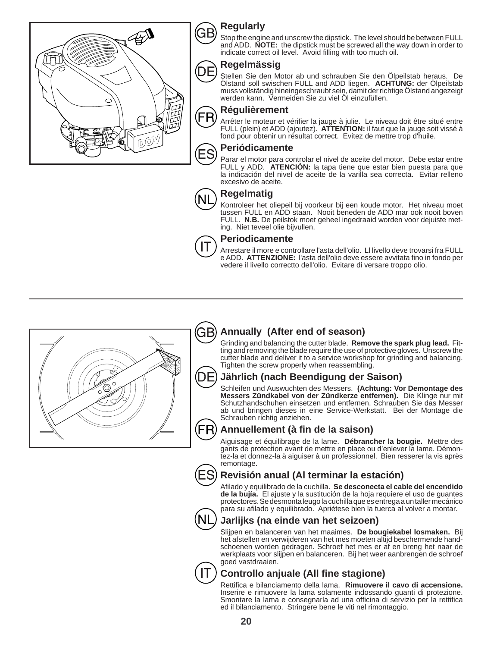

# **Regularly**

Stop the engine and unscrew the dipstick. The level should be between FULL and ADD. **NOTE:** the dipstick must be screwed all the way down in order to indicate correct oil level. Avoid filling with too much oil.

## **Regelmässig**

Stellen Sie den Motor ab und schrauben Sie den Ölpeilstab heraus. De Ölstand soll swischen FULL and ADD liegen. **ACHTUNG:** der Ölpeilstab muss vollständig hineingeschraubt sein, damit der richtige Ölstand angezeigt werden kann. Vermeiden Sie zu viel Öl einzufüllen.

# **Régulièrement**

Arrêter le moteur et vérifier la jauge à julie. Le niveau doit être situé entre FULL (plein) et ADD (ajoutez). **ATTENTION:** il faut que la jauge soit vissé à fond pour obtenir un résultat correct. Evitez de mettre trop d'huile.

# **Periódicamente**

Parar el motor para controlar el nivel de aceite del motor. Debe estar entre FULL y ADD. **ATENCIÓN:** la tapa tiene que estar bien puesta para que la indicación del nivel de aceite de la varilla sea correcta. Evitar relleno excesivo de aceite.

# **Regelmatig**

Kontroleer het oliepeil bij voorkeur bij een koude motor. Het niveau moet tussen FULL en ADD staan. Nooit beneden de ADD mar ook nooit boven FULL. **N.B.** De peilstok moet geheel ingedraaid worden voor dejuiste meting. Niet teveel olie bijvullen.



#### **Periodicamente**

Arrestare il more e controllare l'asta dell'olio. Ll livello deve trovarsi fra FULL e ADD. **ATTENZIONE:** l'asta dell'olio deve essere avvitata fino in fondo per vedere il livello correctto dell'olio. Evitare di versare troppo olio.



#### GB) **Annually (After end of season)**

Grinding and balancing the cutter blade. **Remove the spark plug lead.** Fitting and removing the blade require the use of protective gloves. Unscrew the cutter blade and deliver it to a service workshop for grinding and balancing. Tighten the screw properly when reassembling.

# **Jährlich (nach Beendigung der Saison)**

Schleifen und Auswuchten des Messers. **(Achtung: Vor Demontage des Messers Zündkabel von der Zündkerze entfernen).** Die Klinge nur mit Schutzhandschuhen einsetzen und entfernen. Schrauben Sie das Messer ab und bringen dieses in eine Service-Werkstatt. Bei der Montage die Schrauben richtig anziehen.

# Annuellement (à fin de la saison)

Aiguisage et équilibrage de la lame. **Débrancher la bougie.** Mettre des gants de protection avant de mettre en place ou d'enlever la lame. Démontez-la et donnez-la à aiguiser à un professionnel. Bien resserer la vis après remontage.



# **Revisión anual (Al terminar la estación)**

Afi lado y equilibrado de la cuchilla. **Se desconecta el cable del encendido de la bujía.** El ajuste y la sustitución de la hoja requiere el uso de guantes protectores. Se desmonta leugo la cuchilla que es entrega a un taller mecánico para su afilado y equilibrado. Apriétese bien la tuerca al volver a montar.



# **Jarlijks (na einde van het seizoen)**

Slijpen en balanceren van het maaimes. **De bougiekabel losmaken.** Bij het afstellen en verwijderen van het mes moeten altijd beschermende handschoenen worden gedragen. Schroef het mes er af en breng het naar de werkplaats voor slijpen en balanceren. Bij het weer aanbrengen de schroef goed vastdraaien.



# **Controllo anjuale (All fine stagione)**

Rettifica e bilanciamento della lama. Rimuovere il cavo di accensione. Inserire e rimuovere la lama solamente indossando guanti di protezione. Smontare la lama e consegnarla ad una officina di servizio per la rettifica ed il bilanciamento. Stringere bene le viti nel rimontaggio.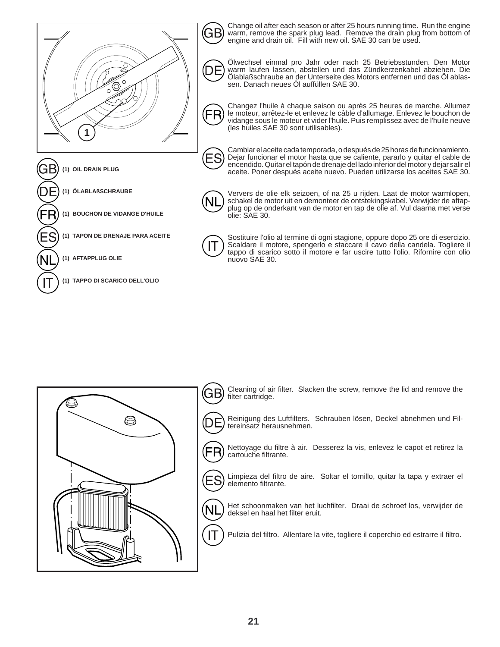

Change oil after each season or after 25 hours running time. Run the engine warm, remove the spark plug lead. Remove the drain plug from bottom of engine and drain oil. Fill with new oil. SAE 30 can be used.



Ölwechsel einmal pro Jahr oder nach 25 Betriebsstunden. Den Motor warm laufen lassen, abstellen und das Zündkerzenkabel abziehen. Die Ölablaßschraube an der Unterseite des Motors entfernen und das Öl ablassen. Danach neues Öl auffüllen SAE 30.

Changez l'huile à chaque saison ou après 25 heures de marche. Allumez le moteur, arrêtez-le et enlevez le câble d'allumage. Enlevez le bouchon de vidange sous le moteur et vider l'huile. Puis remplissez avec de l'huile neuve (les huiles SAE 30 sont utilisables).

Cambiar el aceite cada temporada, o después de 25 horas de funcionamiento. Dejar funcionar el motor hasta que se caliente, pararlo y quitar el cable de encendido. Quitar el tapón de drenaje del lado inferior del motor y dejar salir el aceite. Poner después aceite nuevo. Pueden utilizarse los aceites SAE 30.



Ververs de olie elk seizoen, of na 25 u rijden. Laat de motor warmlopen, schakel de motor uit en demonteer de ontstekingskabel. Verwijder de aftapplug op de onderkant van de motor en tap de olie af. Vul daarna met verse olie: SAE 30.

Sostituire l'olio al termine di ogni stagione, oppure dopo 25 ore di esercizio. Scaldare il motore, spengerlo e staccare il cavo della candela. Togliere il tappo di scarico sotto il motore e far uscire tutto l'olio. Rifornire con olio nuovo SAE 30.

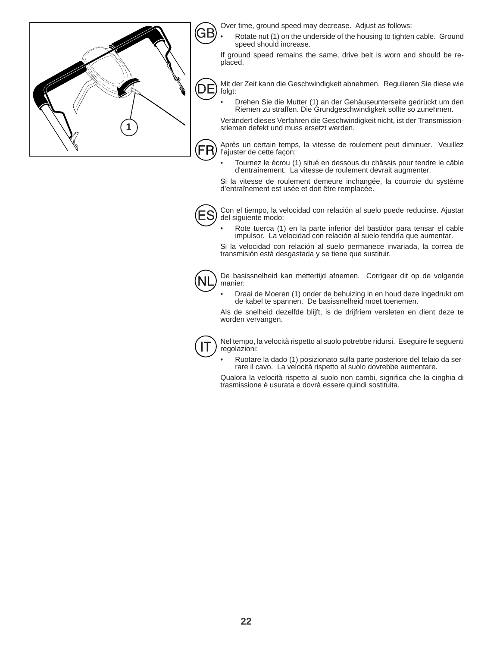

Over time, ground speed may decrease. Adjust as follows:

• Rotate nut (1) on the underside of the housing to tighten cable. Ground speed should increase.

If ground speed remains the same, drive belt is worn and should be replaced.

Mit der Zeit kann die Geschwindigkeit abnehmen. Regulieren Sie diese wie folgt:

• Drehen Sie die Mutter (1) an der Gehäuseunterseite gedrückt um den Riemen zu straffen. Die Grundgeschwindigkeit sollte so zunehmen.

Verändert dieses Verfahren die Geschwindigkeit nicht, ist der Transmissionsriemen defekt und muss ersetzt werden.

Après un certain temps, la vitesse de roulement peut diminuer. Veuillez l'ajuster de cette façon:

• Tournez le écrou (1) situé en dessous du châssis pour tendre le câble d'entraînement. La vitesse de roulement devrait augmenter.

Si la vitesse de roulement demeure inchangée, la courroie du système d'entraînement est usée et doit être remplacée.



Con el tiempo, la velocidad con relación al suelo puede reducirse. Ajustar del siguiente modo:

• Rote tuerca (1) en la parte inferior del bastidor para tensar el cable impulsor. La velocidad con relación al suelo tendría que aumentar.

Si la velocidad con relación al suelo permanece invariada, la correa de transmisión está desgastada y se tiene que sustituir.



De basissnelheid kan mettertijd afnemen. Corrigeer dit op de volgende manier:

• Draai de Moeren (1) onder de behuizing in en houd deze ingedrukt om de kabel te spannen. De basissnelheid moet toenemen.

Als de snelheid dezelfde blijft, is de drijfriem versleten en dient deze te worden vervangen.



Nel tempo, la velocità rispetto al suolo potrebbe ridursi. Eseguire le seguenti regolazioni:

• Ruotare la dado (1) posizionato sulla parte posteriore del telaio da serrare il cavo. La velocità rispetto al suolo dovrebbe aumentare.

Qualora la velocità rispetto al suolo non cambi, significa che la cinghia di trasmissione è usurata e dovrà essere quindi sostituita.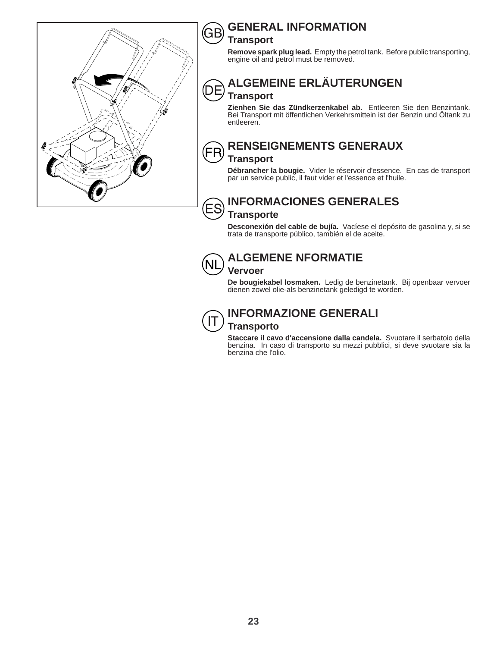

#### **GENERAL INFORMATION** GE

# **Transport**

**Remove spark plug lead.** Empty the petrol tank. Before public transporting, engine oil and petrol must be removed.

#### **ALGEMEINE ERLÄUTERUNGEN** DЕ **Transport**

**Zienhen Sie das Zündkerzenkabel ab.** Entleeren Sie den Benzintank. Bei Transport mit öffentlichen Verkehrsmittein ist der Benzin und Öltank zu entleeren.

# FF

ΈS

# **RENSEIGNEMENTS GENERAUX**

#### **Transport**

**Débrancher la bougie.** Vider le réservoir d'essence. En cas de transport par un service public, il faut vider et l'essence et l'huile.

# **INFORMACIONES GENERALES**

### **Transporte**

**Desconexión del cable de bujía.** Vacíese el depósito de gasolina y, si se trata de transporte público, también el de aceite.



# **ALGEMENE NFORMATIE**

**Vervoer De bougiekabel losmaken.** Ledig de benzinetank. Bij openbaar vervoer dienen zowel olie-als benzinetank geledigd te worden.



# **INFORMAZIONE GENERALI**

**Transporto**

**Staccare il cavo d'accensione dalla candela.** Svuotare il serbatoio della benzina. In caso di transporto su mezzi pubblici, si deve svuotare sia la benzina che l'olio.